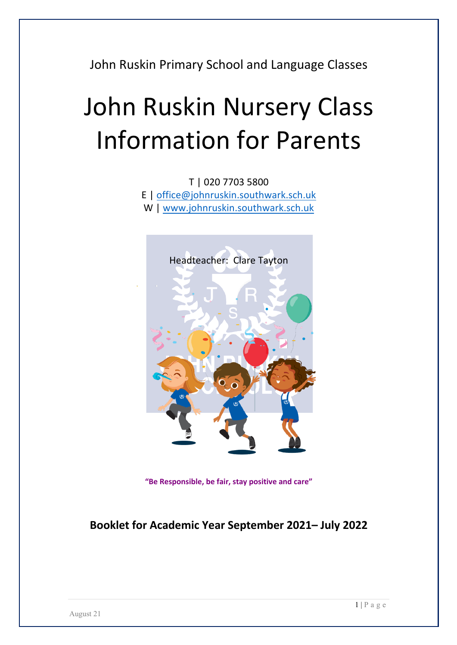John Ruskin Primary School and Language Classes

# John Ruskin Nursery Class Information for Parents

T | 020 7703 5800 E | office@johnruskin.southwark.sch.uk W | www.johnruskin.southwark.sch.uk



**"Be Responsible, be fair, stay positive and care"**

### **Booklet for Academic Year September 2021– July 2022**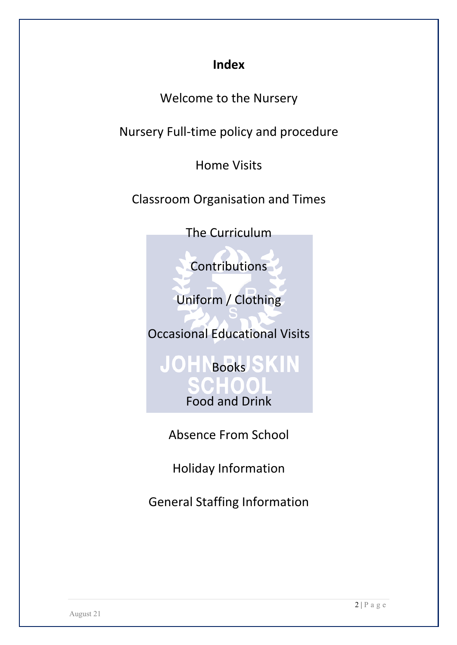## **Index**

Welcome to the Nursery

Nursery Full-time policy and procedure

Home Visits

Classroom Organisation and Times

The Curriculum

**Contributions** 

Uniform / Clothing

Occasional Educational Visits

**JOHNBooks SKIN** Food and Drink

Absence From School

Holiday Information

General Staffing Information

 $2 | P a g e$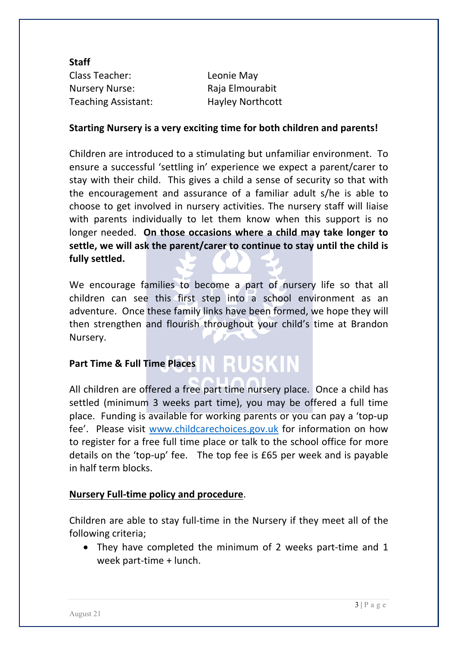**Staff** Class Teacher: Leonie May Nursery Nurse: Raja Elmourabit Teaching Assistant: Hayley Northcott

#### **Starting Nursery is a very exciting time for both children and parents!**

Children are introduced to a stimulating but unfamiliar environment. To ensure a successful 'settling in' experience we expect a parent/carer to stay with their child. This gives a child a sense of security so that with the encouragement and assurance of a familiar adult s/he is able to choose to get involved in nursery activities. The nursery staff will liaise with parents individually to let them know when this support is no longer needed. **On those occasions where a child may take longer to settle, we will ask the parent/carer to continue to stay until the child is fully settled.**

We encourage families to become a part of nursery life so that all children can see this first step into a school environment as an adventure. Once these family links have been formed, we hope they will then strengthen and flourish throughout your child's time at Brandon Nursery.

# Part Time & Full Time Places N RUSKIN

All children are offered a free part time nursery place. Once a child has settled (minimum 3 weeks part time), you may be offered a full time place. Funding is available for working parents or you can pay a 'top-up fee'. Please visit www.childcarechoices.gov.uk for information on how to register for a free full time place or talk to the school office for more details on the 'top-up' fee. The top fee is £65 per week and is payable in half term blocks.

#### **Nursery Full-time policy and procedure**.

Children are able to stay full-time in the Nursery if they meet all of the following criteria;

• They have completed the minimum of 2 weeks part-time and 1 week part-time + lunch.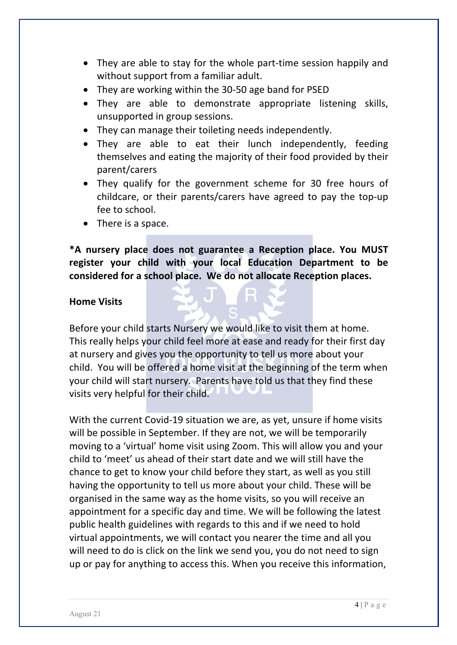- They are able to stay for the whole part-time session happily and without support from a familiar adult.
- They are working within the 30-50 age band for PSED
- They are able to demonstrate appropriate listening skills, unsupported in group sessions.
- They can manage their toileting needs independently.
- They are able to eat their lunch independently, feeding themselves and eating the majority of their food provided by their parent/carers
- They qualify for the government scheme for 30 free hours of childcare, or their parents/carers have agreed to pay the top-up fee to school.
- There is a space.

**\*A nursery place does not guarantee a Reception place. You MUST register your child with your local Education Department to be considered for a school place. We do not allocate Reception places.** 

#### **Home Visits**

Before your child starts Nursery we would like to visit them at home. This really helps your child feel more at ease and ready for their first day at nursery and gives you the opportunity to tell us more about your child. You will be offered a home visit at the beginning of the term when your child will start nursery. Parents have told us that they find these visits very helpful for their child.

With the current Covid-19 situation we are, as yet, unsure if home visits will be possible in September. If they are not, we will be temporarily moving to a 'virtual' home visit using Zoom. This will allow you and your child to 'meet' us ahead of their start date and we will still have the chance to get to know your child before they start, as well as you still having the opportunity to tell us more about your child. These will be organised in the same way as the home visits, so you will receive an appointment for a specific day and time. We will be following the latest public health guidelines with regards to this and if we need to hold virtual appointments, we will contact you nearer the time and all you will need to do is click on the link we send you, you do not need to sign up or pay for anything to access this. When you receive this information,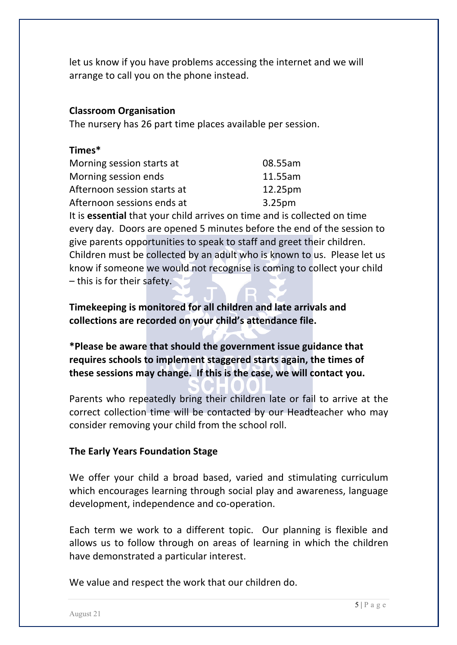let us know if you have problems accessing the internet and we will arrange to call you on the phone instead.

#### **Classroom Organisation**

The nursery has 26 part time places available per session.

#### **Times\***

| Morning session starts at   | 08.55am            |
|-----------------------------|--------------------|
| Morning session ends        | 11.55am            |
| Afternoon session starts at | 12.25pm            |
| Afternoon sessions ends at  | 3.25 <sub>pm</sub> |

It is **essential** that your child arrives on time and is collected on time every day. Doors are opened 5 minutes before the end of the session to give parents opportunities to speak to staff and greet their children. Children must be collected by an adult who is known to us. Please let us know if someone we would not recognise is coming to collect your child – this is for their safety.

**Timekeeping is monitored for all children and late arrivals and collections are recorded on your child's attendance file.**

**\*Please be aware that should the government issue guidance that requires schools to implement staggered starts again, the times of these sessions may change. If this is the case, we will contact you.**

Parents who repeatedly bring their children late or fail to arrive at the correct collection time will be contacted by our Headteacher who may consider removing your child from the school roll.

#### **The Early Years Foundation Stage**

We offer your child a broad based, varied and stimulating curriculum which encourages learning through social play and awareness, language development, independence and co-operation.

Each term we work to a different topic. Our planning is flexible and allows us to follow through on areas of learning in which the children have demonstrated a particular interest.

We value and respect the work that our children do.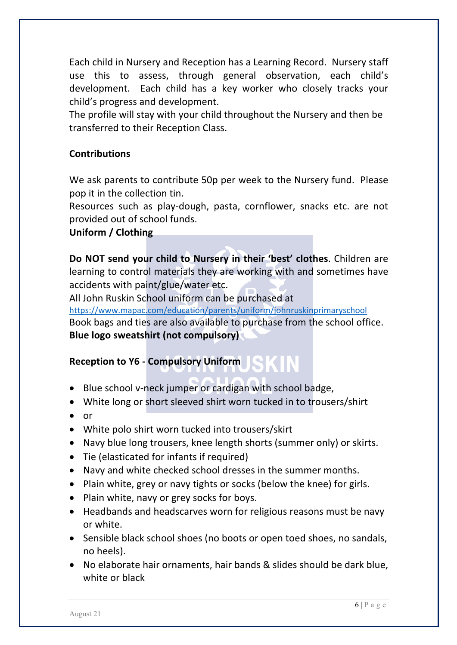Each child in Nursery and Reception has a Learning Record.Nursery staff use this to assess, through general observation, each child's development. Each child has a key worker who closely tracks your child's progress and development.

The profile will stay with your child throughout the Nursery and then be transferred to their Reception Class.

#### **Contributions**

We ask parents to contribute 50p per week to the Nursery fund. Please pop it in the collection tin.

Resources such as play-dough, pasta, cornflower, snacks etc. are not provided out of school funds.

#### **Uniform / Clothing**

**Do NOT send your child to Nursery in their 'best' clothes**. Children are learning to control materials they are working with and sometimes have accidents with paint/glue/water etc.

All John Ruskin School uniform can be purchased at

https://www.mapac.com/education/parents/uniform/johnruskinprimaryschool Book bags and ties are also available to purchase from the school office. **Blue logo sweatshirt (not compulsory)**

#### **Reception to Y6 - Compulsory Uniform**

- Blue school v-neck jumper or cardigan with school badge,
- White long or short sleeved shirt worn tucked in to trousers/shirt
- or
- White polo shirt worn tucked into trousers/skirt
- Navy blue long trousers, knee length shorts (summer only) or skirts.
- Tie (elasticated for infants if required)
- Navy and white checked school dresses in the summer months.
- Plain white, grey or navy tights or socks (below the knee) for girls.
- Plain white, navy or grey socks for boys.
- Headbands and headscarves worn for religious reasons must be navy or white.
- Sensible black school shoes (no boots or open toed shoes, no sandals, no heels).
- No elaborate hair ornaments, hair bands & slides should be dark blue, white or black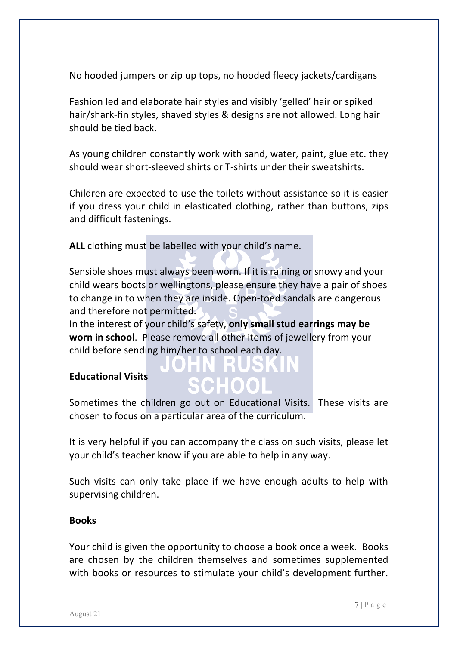No hooded jumpers or zip up tops, no hooded fleecy jackets/cardigans

Fashion led and elaborate hair styles and visibly 'gelled' hair or spiked hair/shark-fin styles, shaved styles & designs are not allowed. Long hair should be tied back.

As young children constantly work with sand, water, paint, glue etc. they should wear short-sleeved shirts or T-shirts under their sweatshirts.

Children are expected to use the toilets without assistance so it is easier if you dress your child in elasticated clothing, rather than buttons, zips and difficult fastenings.

**ALL** clothing must be labelled with your child's name.

Sensible shoes must always been worn. If it is raining or snowy and your child wears boots or wellingtons, please ensure they have a pair of shoes to change in to when they are inside. Open-toed sandals are dangerous and therefore not permitted.

In the interest of your child's safety, **only small stud earrings may be worn in school**. Please remove all other items of jewellery from your child before sending him/her to school each day.

#### **Educational Visits**

Sometimes the children go out on Educational Visits. These visits are chosen to focus on a particular area of the curriculum.

It is very helpful if you can accompany the class on such visits, please let your child's teacher know if you are able to help in any way.

Such visits can only take place if we have enough adults to help with supervising children.

#### **Books**

Your child is given the opportunity to choose a book once a week. Books are chosen by the children themselves and sometimes supplemented with books or resources to stimulate your child's development further.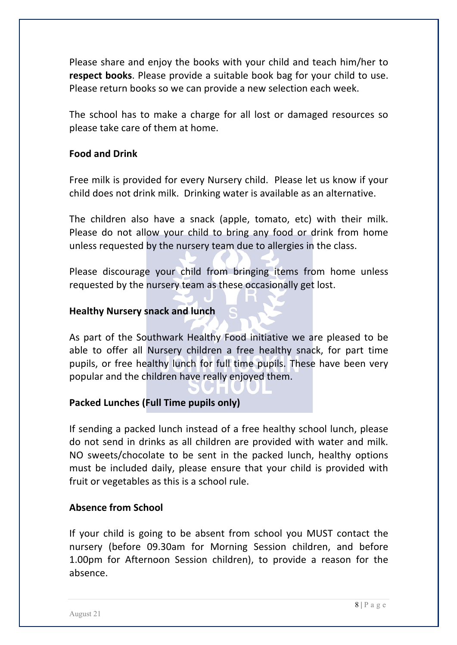Please share and enjoy the books with your child and teach him/her to **respect books**. Please provide a suitable book bag for your child to use. Please return books so we can provide a new selection each week.

The school has to make a charge for all lost or damaged resources so please take care of them at home.

#### **Food and Drink**

Free milk is provided for every Nursery child. Please let us know if your child does not drink milk. Drinking water is available as an alternative.

The children also have a snack (apple, tomato, etc) with their milk. Please do not allow your child to bring any food or drink from home unless requested by the nursery team due to allergies in the class.

Please discourage your child from bringing items from home unless requested by the nursery team as these occasionally get lost.

#### **Healthy Nursery snack and lunch**

As part of the Southwark Healthy Food initiative we are pleased to be able to offer all Nursery children a free healthy snack, for part time pupils, or free healthy lunch for full time pupils. These have been very popular and the children have really enjoyed them.

#### **Packed Lunches (Full Time pupils only)**

If sending a packed lunch instead of a free healthy school lunch, please do not send in drinks as all children are provided with water and milk. NO sweets/chocolate to be sent in the packed lunch, healthy options must be included daily, please ensure that your child is provided with fruit or vegetables as this is a school rule.

#### **Absence from School**

If your child is going to be absent from school you MUST contact the nursery (before 09.30am for Morning Session children, and before 1.00pm for Afternoon Session children), to provide a reason for the absence.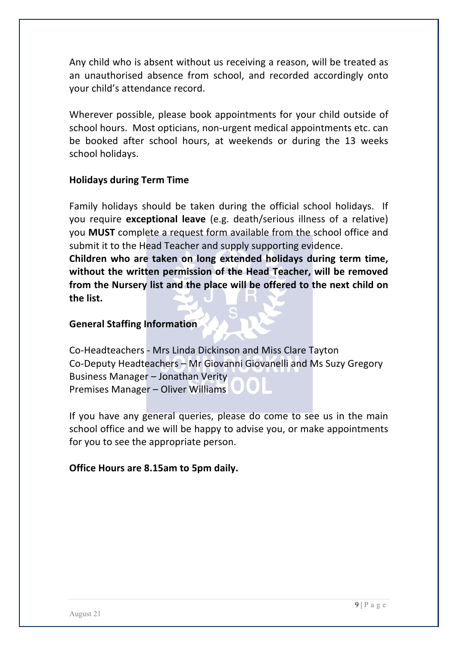Any child who is absent without us receiving a reason, will be treated as an unauthorised absence from school, and recorded accordingly onto your child's attendance record.

Wherever possible, please book appointments for your child outside of school hours. Most opticians, non-urgent medical appointments etc. can be booked after school hours, at weekends or during the 13 weeks school holidays.

#### **Holidays during Term Time**

Family holidays should be taken during the official school holidays. If you require **exceptional leave** (e.g. death/serious illness of a relative) you **MUST** complete a request form available from the school office and submit it to the Head Teacher and supply supporting evidence.

**Children who are taken on long extended holidays during term time, without the written permission of the Head Teacher, will be removed from the Nursery list and the place will be offered to the next child on the list.**

#### **General Staffing Information**

Co-Headteachers - Mrs Linda Dickinson and Miss Clare Tayton Co-Deputy Headteachers – Mr Giovanni Giovanelli and Ms Suzy Gregory Business Manager – Jonathan Verity Premises Manager – Oliver Williams

If you have any general queries, please do come to see us in the main school office and we will be happy to advise you, or make appointments for you to see the appropriate person.

#### **Office Hours are 8.15am to 5pm daily.**